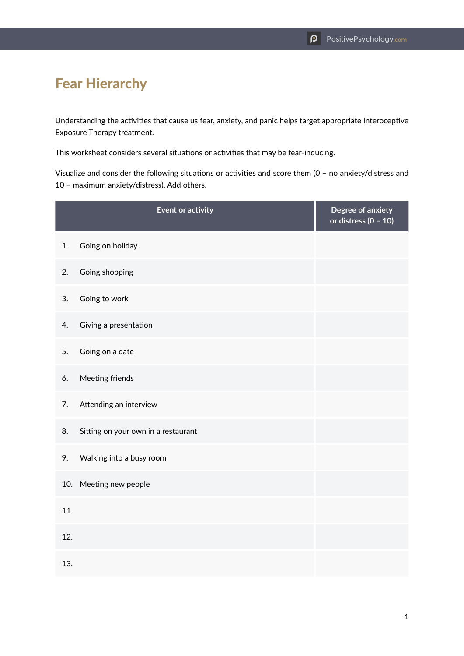## Fear Hierarchy

Understanding the activities that cause us fear, anxiety, and panic helps target appropriate Interoceptive Exposure Therapy treatment.

This worksheet considers several situations or activities that may be fear-inducing.

Visualize and consider the following situations or activities and score them (0 – no anxiety/distress and 10 – maximum anxiety/distress). Add others.

|     | <b>Event or activity</b>            | Degree of anxiety<br>or distress $(0 - 10)$ |
|-----|-------------------------------------|---------------------------------------------|
| 1.  | Going on holiday                    |                                             |
| 2.  | Going shopping                      |                                             |
| 3.  | Going to work                       |                                             |
| 4.  | Giving a presentation               |                                             |
| 5.  | Going on a date                     |                                             |
| 6.  | Meeting friends                     |                                             |
| 7.  | Attending an interview              |                                             |
| 8.  | Sitting on your own in a restaurant |                                             |
| 9.  | Walking into a busy room            |                                             |
| 10. | Meeting new people                  |                                             |
| 11. |                                     |                                             |
| 12. |                                     |                                             |
| 13. |                                     |                                             |